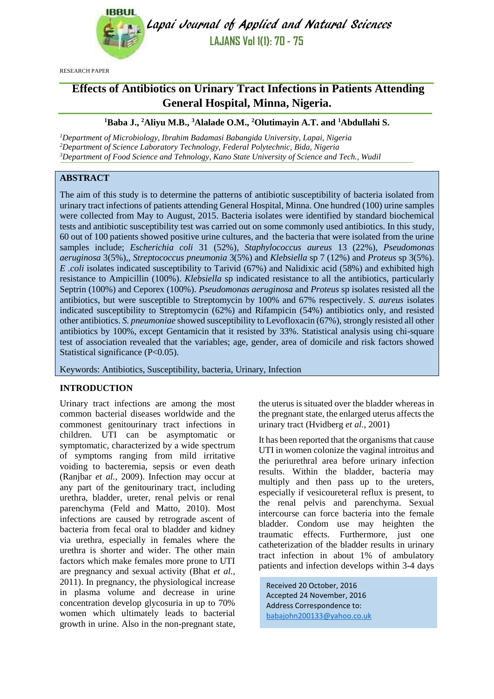

Lapai Journal of Applied and Natural Sciences **LAJANS Vol 1(1): 70 - 75**

RESEARCH PAPER

# **Effects of Antibiotics on Urinary Tract Infections in Patients Attending General Hospital, Minna, Nigeria.**

#### **<sup>1</sup>Baba J., <sup>2</sup>Aliyu M.B., <sup>3</sup>Alalade O.M., <sup>2</sup>Olutimayin A.T. and <sup>1</sup>Abdullahi S.**

*<sup>1</sup>Department of Microbiology, Ibrahim Badamasi Babangida University, Lapai, Nigeria <sup>2</sup>Department of Science Laboratory Technology, Federal Polytechnic, Bida, Nigeria <sup>3</sup>Department of Food Science and Tehnology, Kano State University of Science and Tech., Wudil*

## **ABSTRACT**

The aim of this study is to determine the patterns of antibiotic susceptibility of bacteria isolated from urinary tract infections of patients attending General Hospital, Minna. One hundred (100) urine samples were collected from May to August, 2015. Bacteria isolates were identified by standard biochemical tests and antibiotic susceptibility test was carried out on some commonly used antibiotics. In this study, 60 out of 100 patients showed positive urine cultures, and the bacteria that were isolated from the urine samples include; *Escherichia coli* 31 (52%)*, Staphylococcus aureus* 13 (22%)*, Pseudomonas aeruginosa* 3(5%),*, Streptococcus pneumonia* 3(5%) and *Klebsiella* sp 7 (12%) and *Proteus* sp 3(5%). *E .coli* isolates indicated susceptibility to Tarivid (67%) and Nalidixic acid (58%) and exhibited high resistance to Ampicillin (100%). *Klebsiella* sp indicated resistance to all the antibiotics, particularly Septrin (100%) and Ceporex (100%). *Pseudomonas aeruginosa* and *Proteus* sp isolates resisted all the antibiotics, but were susceptible to Streptomycin by 100% and 67% respectively. *S. aureus* isolates indicated susceptibility to Streptomycin (62%) and Rifampicin (54%) antibiotics only, and resisted other antibiotics. *S. pneumoniae* showed susceptibility to Levofloxacin (67%), strongly resisted all other antibiotics by 100%, except Gentamicin that it resisted by 33%. Statistical analysis using chi-square test of association revealed that the variables; age, gender, area of domicile and risk factors showed Statistical significance (P<0.05).

Keywords: Antibiotics, Susceptibility, bacteria, Urinary, Infection

### **INTRODUCTION**

Urinary tract infections are among the most common bacterial diseases worldwide and the commonest genitourinary tract infections in children. UTI can be asymptomatic or symptomatic, characterized by a wide spectrum of symptoms ranging from mild irritative voiding to bacteremia, sepsis or even death (Ranjbar *et al.,* 2009). Infection may occur at any part of the genitourinary tract, including urethra, bladder, ureter, renal pelvis or renal parenchyma (Feld and Matto, 2010). Most infections are caused by retrograde ascent of bacteria from fecal oral to bladder and kidney via urethra, especially in females where the urethra is shorter and wider. The other main factors which make females more prone to UTI are pregnancy and sexual activity (Bhat *et al.,* 2011). In pregnancy, the physiological increase in plasma volume and decrease in urine concentration develop glycosuria in up to 70% women which ultimately leads to bacterial growth in urine. Also in the non-pregnant state, the uterus is situated over the bladder whereas in the pregnant state, the enlarged uterus affects the urinary tract (Hvidberg *et al.*, 2001)

It has been reported that the organisms that cause UTI in women colonize the vaginal introitus and the periurethral area before urinary infection results. Within the bladder, bacteria may multiply and then pass up to the ureters, especially if vesicoureteral reflux is present, to the renal pelvis and parenchyma. Sexual intercourse can force bacteria into the female bladder. Condom use may heighten the traumatic effects. Furthermore, just one catheterization of the bladder results in urinary tract infection in about 1% of ambulatory patients and infection develops within 3-4 days

Received 20 October, 2016 Accepted 24 November, 2016 Address Correspondence to: [babajohn200133@yahoo.co.uk](mailto:babajohn200133@yahoo.co.uk)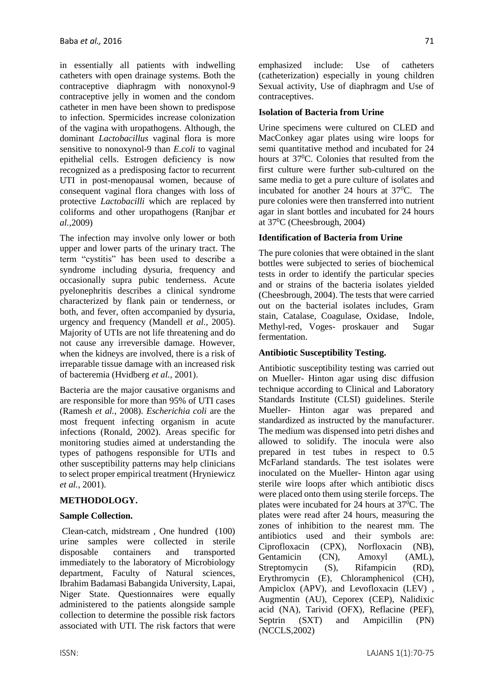in essentially all patients with indwelling catheters with open drainage systems. Both the contraceptive diaphragm with nonoxynol-9 contraceptive jelly in women and the condom catheter in men have been shown to predispose to infection. Spermicides increase colonization of the vagina with uropathogens. Although, the dominant *Lactobacillus* vaginal flora is more sensitive to nonoxynol-9 than *E.coli* to vaginal epithelial cells. Estrogen deficiency is now recognized as a predisposing factor to recurrent UTI in post-menopausal women, because of consequent vaginal flora changes with loss of protective *Lactobacilli* which are replaced by coliforms and other uropathogens (Ranjbar *et al.,*2009)

The infection may involve only lower or both upper and lower parts of the urinary tract. The term "cystitis" has been used to describe a syndrome including dysuria, frequency and occasionally supra pubic tenderness. Acute pyelonephritis describes a clinical syndrome characterized by flank pain or tenderness, or both, and fever, often accompanied by dysuria, urgency and frequency (Mandell *et al.,* 2005). Majority of UTIs are not life threatening and do not cause any irreversible damage. However, when the kidneys are involved, there is a risk of irreparable tissue damage with an increased risk of bacteremia (Hvidberg *et al.,* 2001).

Bacteria are the major causative organisms and are responsible for more than 95% of UTI cases (Ramesh *et al.,* 2008). *Escherichia coli* are the most frequent infecting organism in acute infections (Ronald*,* 2002). Areas specific for monitoring studies aimed at understanding the types of pathogens responsible for UTIs and other susceptibility patterns may help clinicians to select proper empirical treatment (Hryniewicz *et al.,* 2001).

### **METHODOLOGY.**

### **Sample Collection.**

Clean-catch, midstream , One hundred (100) urine samples were collected in sterile disposable containers and transported immediately to the laboratory of Microbiology department, Faculty of Natural sciences, Ibrahim Badamasi Babangida University, Lapai, Niger State. Questionnaires were equally administered to the patients alongside sample collection to determine the possible risk factors associated with UTI. The risk factors that were emphasized include: Use of catheters (catheterization) especially in young children Sexual activity, Use of diaphragm and Use of contraceptives.

## **Isolation of Bacteria from Urine**

Urine specimens were cultured on CLED and MacConkey agar plates using wire loops for semi quantitative method and incubated for 24 hours at 37<sup>0</sup>C. Colonies that resulted from the first culture were further sub-cultured on the same media to get a pure culture of isolates and incubated for another 24 hours at  $37^{\circ}$ C. The pure colonies were then transferred into nutrient agar in slant bottles and incubated for 24 hours at 37<sup>0</sup>C (Cheesbrough, 2004)

### **Identification of Bacteria from Urine**

The pure colonies that were obtained in the slant bottles were subjected to series of biochemical tests in order to identify the particular species and or strains of the bacteria isolates yielded (Cheesbrough, 2004). The tests that were carried out on the bacterial isolates includes, Gram stain, Catalase, Coagulase, Oxidase, Indole, Methyl-red, Voges- proskauer and Sugar fermentation.

## **Antibiotic Susceptibility Testing.**

Antibiotic susceptibility testing was carried out on Mueller- Hinton agar using disc diffusion technique according to Clinical and Laboratory Standards Institute (CLSI) guidelines. Sterile Mueller- Hinton agar was prepared and standardized as instructed by the manufacturer. The medium was dispensed into petri dishes and allowed to solidify. The inocula were also prepared in test tubes in respect to 0.5 McFarland standards. The test isolates were inoculated on the Mueller- Hinton agar using sterile wire loops after which antibiotic discs were placed onto them using sterile forceps. The plates were incubated for 24 hours at  $37\text{°C}$ . The plates were read after 24 hours, measuring the zones of inhibition to the nearest mm. The antibiotics used and their symbols are: Ciprofloxacin (CPX), Norfloxacin (NB), Gentamicin (CN), Amoxyl (AML), Streptomycin (S), Rifampicin (RD), Erythromycin (E), Chloramphenicol (CH), Ampiclox (APV), and Levofloxacin (LEV) , Augmentin (AU), Ceporex (CEP), Nalidixic acid (NA), Tarivid (OFX), Reflacine (PEF), Septrin (SXT) and Ampicillin (PN) (NCCLS,2002)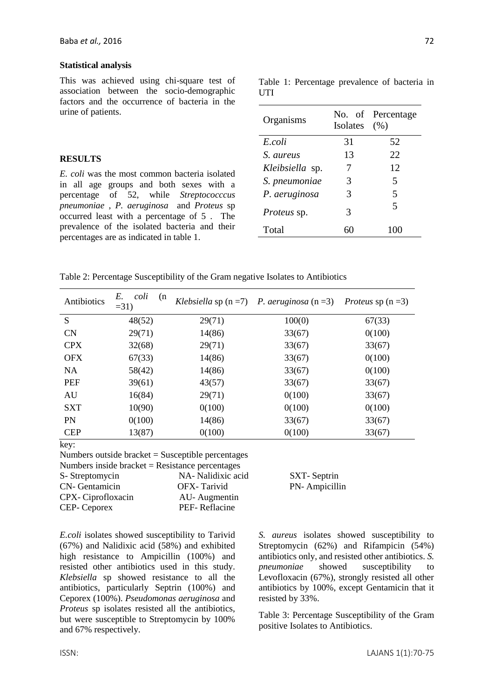#### **Statistical analysis**

This was achieved using chi-square test of association between the socio-demographic factors and the occurrence of bacteria in the urine of patients.

#### **RESULTS**

*E. coli* was the most common bacteria isolated in all age groups and both sexes with a percentage of 52, while *Streptococccus pneumoniae* , *P. aeruginosa* and *Proteus* sp occurred least with a percentage of 5 . The prevalence of the isolated bacteria and their percentages are as indicated in table 1.

Table 1: Percentage prevalence of bacteria in UTI

| Isolates | No. of Percentage<br>(% ) |
|----------|---------------------------|
| 31       | 52                        |
| 13       | 22                        |
| 7        | 12                        |
| 3        | 5                         |
| 3        | 5                         |
| 3        | $\overline{\mathbf{5}}$   |
|          | 100                       |
|          |                           |

Table 2: Percentage Susceptibility of the Gram negative Isolates to Antibiotics

| Antibiotics | E.<br>coli<br>(n)<br>$=31$ |        | Klebsiella sp $(n=7)$ P. aeruginosa $(n=3)$ | <i>Proteus</i> sp $(n=3)$ |
|-------------|----------------------------|--------|---------------------------------------------|---------------------------|
| S           | 48(52)                     | 29(71) | 100(0)                                      | 67(33)                    |
| <b>CN</b>   | 29(71)                     | 14(86) | 33(67)                                      | 0(100)                    |
| <b>CPX</b>  | 32(68)                     | 29(71) | 33(67)                                      | 33(67)                    |
| <b>OFX</b>  | 67(33)                     | 14(86) | 33(67)                                      | 0(100)                    |
| <b>NA</b>   | 58(42)                     | 14(86) | 33(67)                                      | 0(100)                    |
| <b>PEF</b>  | 39(61)                     | 43(57) | 33(67)                                      | 33(67)                    |
| AU          | 16(84)                     | 29(71) | 0(100)                                      | 33(67)                    |
| <b>SXT</b>  | 10(90)                     | 0(100) | 0(100)                                      | 0(100)                    |
| <b>PN</b>   | 0(100)                     | 14(86) | 33(67)                                      | 33(67)                    |
| <b>CEP</b>  | 13(87)                     | 0(100) | 0(100)                                      | 33(67)                    |

key:

Numbers outside bracket = Susceptible percentages Numbers inside bracket =  $Resistance$  percentages

| NA- Nalidixic acid |
|--------------------|
| OFX-Tarivid        |
| AU-Augmentin       |
| PEF-Reflacine      |
|                    |

d SXT- Septrin PN- Ampicillin

*E.coli* isolates showed susceptibility to Tarivid (67%) and Nalidixic acid (58%) and exhibited high resistance to Ampicillin (100%) and resisted other antibiotics used in this study. *Klebsiella* sp showed resistance to all the antibiotics, particularly Septrin (100%) and Ceporex (100%). *Pseudomonas aeruginosa* and *Proteus* sp isolates resisted all the antibiotics, but were susceptible to Streptomycin by 100% and 67% respectively.

*S. aureus* isolates showed susceptibility to Streptomycin (62%) and Rifampicin (54%) antibiotics only, and resisted other antibiotics. *S. pneumoniae* showed susceptibility to Levofloxacin (67%), strongly resisted all other antibiotics by 100%, except Gentamicin that it resisted by 33%.

Table 3: Percentage Susceptibility of the Gram positive Isolates to Antibiotics.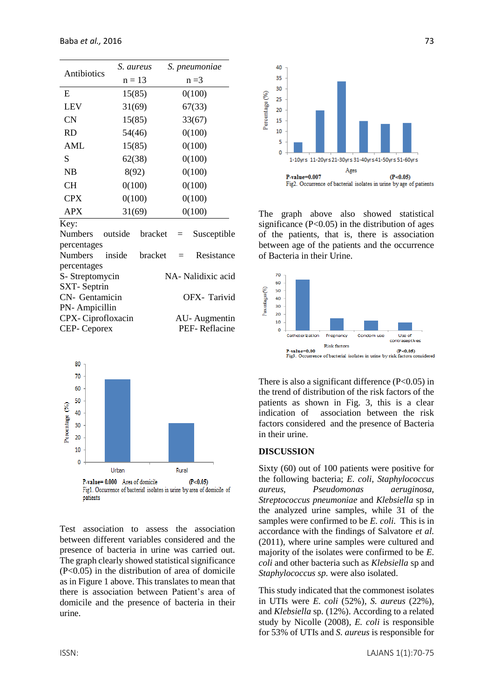| Antibiotics      | S. aureus | S. pneumoniae |
|------------------|-----------|---------------|
|                  | $n = 13$  | $n = 3$       |
| E                | 15(85)    | 0(100)        |
| <b>LEV</b>       | 31(69)    | 67(33)        |
| <b>CN</b>        | 15(85)    | 33(67)        |
| <b>RD</b>        | 54(46)    | 0(100)        |
| <b>AML</b>       | 15(85)    | 0(100)        |
| S                | 62(38)    | 0(100)        |
| <b>NB</b>        | 8(92)     | 0(100)        |
| <b>CH</b>        | 0(100)    | 0(100)        |
| <b>CPX</b>       | 0(100)    | 0(100)        |
| <b>APX</b>       | 31(69)    | 0(100)        |
| Kev <sup>.</sup> |           |               |

| Numbers outside    |        | $bracket =$ | Susceptible        |
|--------------------|--------|-------------|--------------------|
| percentages        |        |             |                    |
| Numbers            | inside | $bracket =$ | Resistance         |
| percentages        |        |             |                    |
| S-Streptomycin     |        |             | NA- Nalidixic acid |
| <b>SXT-Septrin</b> |        |             |                    |
| CN- Gentamicin     |        |             | OFX-Tarivid        |
| PN-Ampicillin      |        |             |                    |
| CPX-Ciprofloxacin  |        |             | AU-Augmentin       |
| <b>CEP-Ceporex</b> |        |             | PEF-Reflacine      |



Test association to assess the association between different variables considered and the presence of bacteria in urine was carried out. The graph clearly showed statistical significance (P<0.05) in the distribution of area of domicile as in Figure 1 above. This translates to mean that there is association between Patient's area of domicile and the presence of bacteria in their urine.



The graph above also showed statistical significance  $(P<0.05)$  in the distribution of ages of the patients, that is, there is association between age of the patients and the occurrence of Bacteria in their Urine.



There is also a significant difference  $(P<0.05)$  in the trend of distribution of the risk factors of the patients as shown in Fig. 3, this is a clear indication of association between the risk factors considered and the presence of Bacteria in their urine.

#### **DISCUSSION**

Sixty (60) out of 100 patients were positive for the following bacteria; *E. coli, Staphylococcus aureus, Pseudomonas aeruginosa, Streptococcus pneumoniae* and *Klebsiella* sp in the analyzed urine samples, while 31 of the samples were confirmed to be *E. coli.* This is in accordance with the findings of Salvatore *et al.* (2011), where urine samples were cultured and majority of the isolates were confirmed to be *E. coli* and other bacteria such as *Klebsiella* sp and *Staphylococcus sp.* were also isolated.

This study indicated that the commonest isolates in UTIs were *E. coli* (52%), *S. aureus* (22%), and *Klebsiella* sp*.* (12%). According to a related study by Nicolle (2008), *E. coli* is responsible for 53% of UTIs and *S. aureus* is responsible for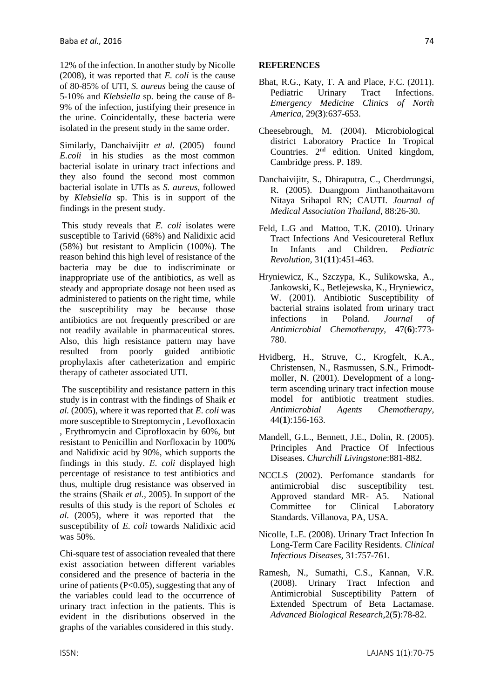12% of the infection. In another study by Nicolle (2008), it was reported that *E. coli* is the cause of 80-85% of UTI, *S. aureus* being the cause of 5-10% and *Klebsiella* sp*.* being the cause of 8- 9% of the infection, justifying their presence in the urine. Coincidentally, these bacteria were isolated in the present study in the same order.

Similarly, Danchaivijitr et al. (2005) found *E.coli* in his studies as the most common bacterial isolate in urinary tract infections and they also found the second most common bacterial isolate in UTIs as *S. aureus,* followed by *Klebsiella* sp. This is in support of the findings in the present study.

This study reveals that *E. coli* isolates were susceptible to Tarivid (68%) and Nalidixic acid (58%) but resistant to Amplicin (100%). The reason behind this high level of resistance of the bacteria may be due to indiscriminate or inappropriate use of the antibiotics, as well as steady and appropriate dosage not been used as administered to patients on the right time, while the susceptibility may be because those antibiotics are not frequently prescribed or are not readily available in pharmaceutical stores. Also, this high resistance pattern may have resulted from poorly guided antibiotic prophylaxis after catheterization and empiric therapy of catheter associated UTI.

The susceptibility and resistance pattern in this study is in contrast with the findings of Shaik *et al.* (2005), where it was reported that *E. coli* was more susceptible to Streptomycin , Levofloxacin , Erythromycin and Ciprofloxacin by 60%, but resistant to Penicillin and Norfloxacin by 100% and Nalidixic acid by 90%, which supports the findings in this study. *E. coli* displayed high percentage of resistance to test antibiotics and thus, multiple drug resistance was observed in the strains (Shaik *et al.,* 2005). In support of the results of this study is the report of Scholes *et al.* (2005), where it was reported that the susceptibility of *E. coli* towards Nalidixic acid was 50%.

Chi-square test of association revealed that there exist association between different variables considered and the presence of bacteria in the urine of patients (P<0.05), suggesting that any of the variables could lead to the occurrence of urinary tract infection in the patients. This is evident in the disributions observed in the graphs of the variables considered in this study.

#### **REFERENCES**

- Bhat, R.G., Katy, T. A and Place, F.C. (2011). Pediatric Urinary Tract Infections. *Emergency Medicine Clinics of North America,* 29(**3**):637-653.
- Cheesebrough, M. (2004). Microbiological district Laboratory Practice In Tropical Countries. 2<sup>nd</sup> edition. United kingdom, Cambridge press. P. 189.
- Danchaivijitr, S., Dhiraputra, C., Cherdrrungsi, R. (2005). Duangpom Jinthanothaitavorn Nitaya Srihapol RN; CAUTI. *Journal of Medical Association Thailand,* 88:26-30.
- Feld, L.G and Mattoo, T.K. (2010). Urinary Tract Infections And Vesicoureteral Reflux In Infants and Children. *Pediatric Revolution,* 31(**11**):451-463.
- Hryniewicz, K., Szczypa, K., Sulikowska, A., Jankowski, K., Betlejewska, K., Hryniewicz, W. (2001). Antibiotic Susceptibility of bacterial strains isolated from urinary tract infections in Poland. *Journal of Antimicrobial Chemotherapy,* 47(**6**):773- 780.
- Hvidberg, H., Struve, C., Krogfelt, K.A., Christensen, N., Rasmussen, S.N., Frimodtmoller, N. (2001). Development of a longterm ascending urinary tract infection mouse model for antibiotic treatment studies. *Antimicrobial Agents Chemotherapy*, 44(**1**):156-163.
- Mandell, G.L., Bennett, J.E., Dolin, R. (2005). Principles And Practice Of Infectious Diseases. *Churchill Livingstone*:881-882.
- NCCLS (2002). Perfomance standards for antimicrobial disc susceptibility test. Approved standard MR- A5. National Committee for Clinical Laboratory Standards. Villanova, PA, USA.
- Nicolle, L.E. (2008). Urinary Tract Infection In Long-Term Care Facility Residents. *Clinical Infectious Diseases,* 31:757-761.
- Ramesh, N., Sumathi, C.S., Kannan, V.R. (2008). Urinary Tract Infection and Antimicrobial Susceptibility Pattern of Extended Spectrum of Beta Lactamase. *Advanced Biological Research,*2(**5**):78-82.